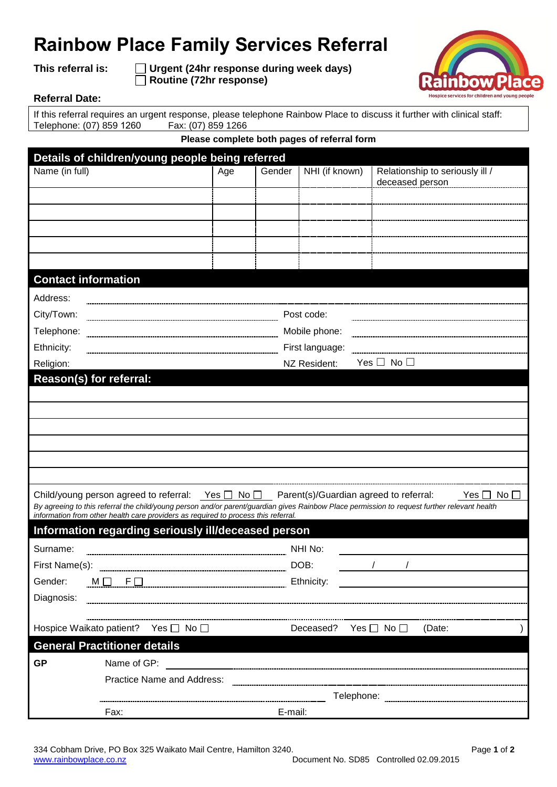## **Rainbow Place Family Services Referral**

**This referral is: Urgent (24hr response during week days) Routine (72hr response)**



## **Referral Date:**

If this referral requires an urgent response, please telephone Rainbow Place to discuss it further with clinical staff: Telephone: (07) 859 1260 Fax: (07) 859 1266

**Please complete both pages of referral form**

| Details of children/young people being referred |                                                                                                    |                 |        |                |                                                                                                                                                                          |  |  |  |
|-------------------------------------------------|----------------------------------------------------------------------------------------------------|-----------------|--------|----------------|--------------------------------------------------------------------------------------------------------------------------------------------------------------------------|--|--|--|
| Name (in full)                                  |                                                                                                    | Age             | Gender | NHI (if known) | Relationship to seriously ill /<br>deceased person                                                                                                                       |  |  |  |
|                                                 |                                                                                                    |                 |        |                |                                                                                                                                                                          |  |  |  |
|                                                 |                                                                                                    |                 |        |                |                                                                                                                                                                          |  |  |  |
|                                                 |                                                                                                    |                 |        |                |                                                                                                                                                                          |  |  |  |
|                                                 |                                                                                                    |                 |        |                |                                                                                                                                                                          |  |  |  |
|                                                 |                                                                                                    |                 |        |                |                                                                                                                                                                          |  |  |  |
| <b>Contact information</b>                      |                                                                                                    |                 |        |                |                                                                                                                                                                          |  |  |  |
| Address:                                        |                                                                                                    |                 |        |                |                                                                                                                                                                          |  |  |  |
| City/Town:                                      | Post code:                                                                                         |                 |        |                |                                                                                                                                                                          |  |  |  |
| Telephone:                                      |                                                                                                    | Mobile phone:   |        |                |                                                                                                                                                                          |  |  |  |
| Ethnicity:                                      |                                                                                                    | First language: |        |                |                                                                                                                                                                          |  |  |  |
| Religion:                                       |                                                                                                    |                 |        | NZ Resident:   | Yes $\Box$ No $\Box$                                                                                                                                                     |  |  |  |
| Reason(s) for referral:                         |                                                                                                    |                 |        |                |                                                                                                                                                                          |  |  |  |
|                                                 |                                                                                                    |                 |        |                |                                                                                                                                                                          |  |  |  |
|                                                 |                                                                                                    |                 |        |                |                                                                                                                                                                          |  |  |  |
|                                                 |                                                                                                    |                 |        |                |                                                                                                                                                                          |  |  |  |
|                                                 |                                                                                                    |                 |        |                |                                                                                                                                                                          |  |  |  |
|                                                 |                                                                                                    |                 |        |                |                                                                                                                                                                          |  |  |  |
|                                                 |                                                                                                    |                 |        |                |                                                                                                                                                                          |  |  |  |
|                                                 | Child/young person agreed to referral: Yes $\Box$ No $\Box$ Parent(s)/Guardian agreed to referral: |                 |        |                | No <sub>1</sub><br>Yes  <br>By agreeing to this referral the child/young person and/or parent/guardian gives Rainbow Place permission to request further relevant health |  |  |  |
|                                                 | information from other health care providers as required to process this referral.                 |                 |        |                |                                                                                                                                                                          |  |  |  |
|                                                 | Information regarding seriously ill/deceased person                                                |                 |        |                |                                                                                                                                                                          |  |  |  |
| Surname:                                        |                                                                                                    |                 |        | NHI No:        |                                                                                                                                                                          |  |  |  |
| First Name(s):                                  |                                                                                                    |                 |        | DOB:           | $\frac{1}{2}$ $\frac{1}{2}$                                                                                                                                              |  |  |  |
| Gender:                                         | $M \Box$ F $\Box$ El El El Ethnicity:                                                              |                 |        |                | <u> 1989 - Johann Harry Harry Harry Harry Harry Harry Harry Harry Harry Harry Harry Harry Harry Harry Harry Harry</u>                                                    |  |  |  |
| Diagnosis:                                      |                                                                                                    |                 |        |                |                                                                                                                                                                          |  |  |  |
|                                                 |                                                                                                    |                 |        |                |                                                                                                                                                                          |  |  |  |
|                                                 | Hospice Waikato patient? Yes □ No □                                                                |                 |        | Deceased?      | Yes $\square$ No $\square$<br>(Date:                                                                                                                                     |  |  |  |
| <b>General Practitioner details</b>             |                                                                                                    |                 |        |                |                                                                                                                                                                          |  |  |  |
| <b>GP</b>                                       | Name of GP:                                                                                        |                 |        |                |                                                                                                                                                                          |  |  |  |
|                                                 | <b>Practice Name and Address:</b>                                                                  |                 |        |                |                                                                                                                                                                          |  |  |  |
|                                                 |                                                                                                    |                 |        |                |                                                                                                                                                                          |  |  |  |
|                                                 | Fax:                                                                                               | E-mail:         |        |                |                                                                                                                                                                          |  |  |  |